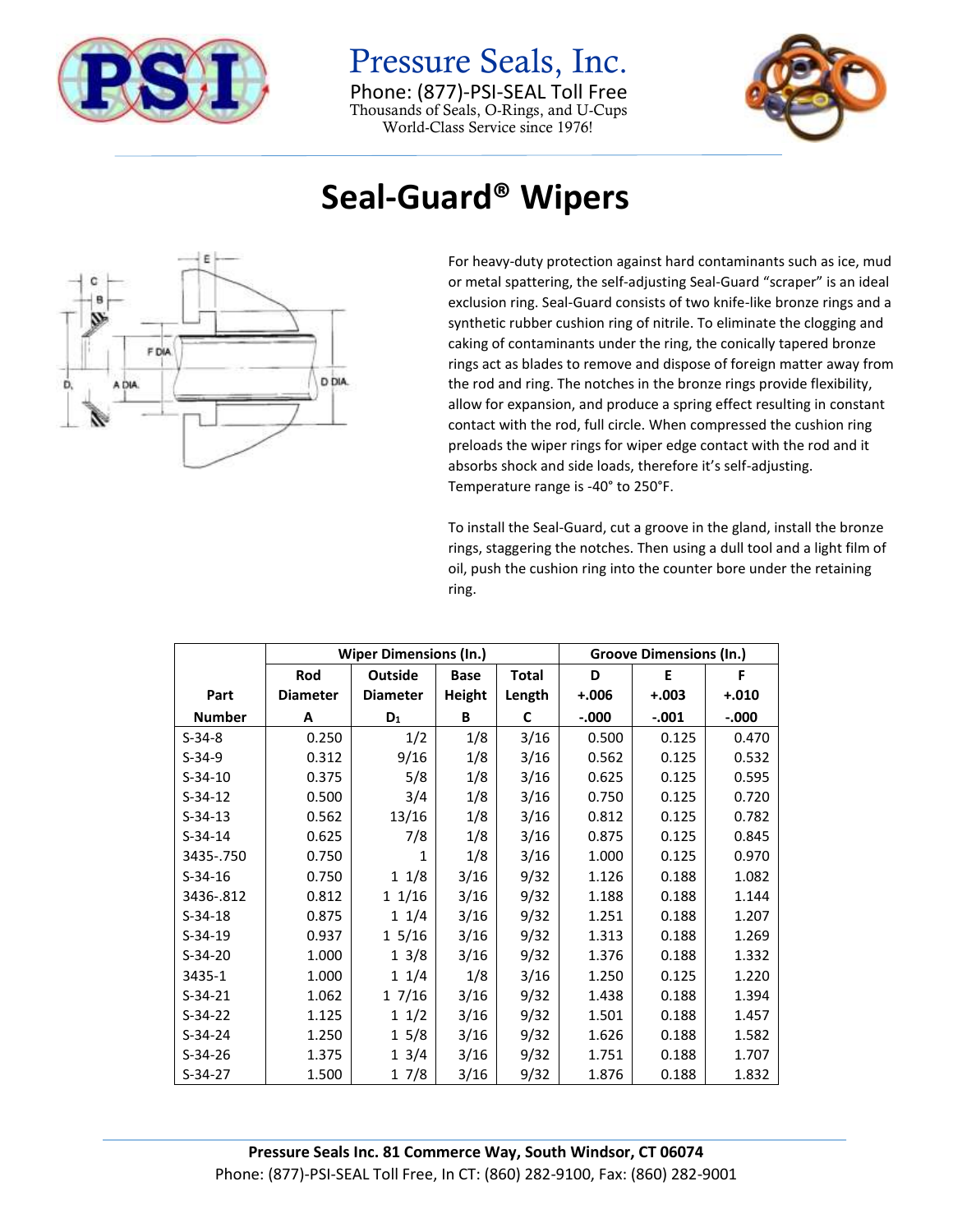

Pressure Seals, Inc. Phone: (877)-PSI-SEAL Toll Free Thousands of Seals, O-Rings, and U-Cups World-Class Service since 1976!



## **Seal-Guard® Wipers**



For heavy-duty protection against hard contaminants such as ice, mud or metal spattering, the self-adjusting Seal-Guard "scraper" is an ideal exclusion ring. Seal-Guard consists of two knife-like bronze rings and a synthetic rubber cushion ring of nitrile. To eliminate the clogging and caking of contaminants under the ring, the conically tapered bronze rings act as blades to remove and dispose of foreign matter away from the rod and ring. The notches in the bronze rings provide flexibility, allow for expansion, and produce a spring effect resulting in constant contact with the rod, full circle. When compressed the cushion ring preloads the wiper rings for wiper edge contact with the rod and it absorbs shock and side loads, therefore it's self-adjusting. Temperature range is -40° to 250°F.

To install the Seal-Guard, cut a groove in the gland, install the bronze rings, staggering the notches. Then using a dull tool and a light film of oil, push the cushion ring into the counter bore under the retaining ring.

|               |                 | <b>Wiper Dimensions (In.)</b> | <b>Groove Dimensions (In.)</b> |              |          |         |         |
|---------------|-----------------|-------------------------------|--------------------------------|--------------|----------|---------|---------|
|               | Rod             | <b>Outside</b>                | <b>Base</b>                    | <b>Total</b> | D        | Ε       | F       |
| Part          | <b>Diameter</b> | <b>Diameter</b>               | <b>Height</b>                  | Length       | $+.006$  | $+.003$ | $+.010$ |
| <b>Number</b> | A               | $D_1$                         | B                              | C            | $-0.000$ | $-.001$ | $-.000$ |
| $S-34-8$      | 0.250           | 1/2                           | 1/8                            | 3/16         | 0.500    | 0.125   | 0.470   |
| $S-34-9$      | 0.312           | 9/16                          | 1/8                            | 3/16         | 0.562    | 0.125   | 0.532   |
| $S-34-10$     | 0.375           | 5/8                           | 1/8                            | 3/16         | 0.625    | 0.125   | 0.595   |
| $S-34-12$     | 0.500           | 3/4                           | 1/8                            | 3/16         | 0.750    | 0.125   | 0.720   |
| $S-34-13$     | 0.562           | 13/16                         | 1/8                            | 3/16         | 0.812    | 0.125   | 0.782   |
| $S-34-14$     | 0.625           | 7/8                           | 1/8                            | 3/16         | 0.875    | 0.125   | 0.845   |
| 3435-.750     | 0.750           | 1                             | 1/8                            | 3/16         | 1.000    | 0.125   | 0.970   |
| $S-34-16$     | 0.750           | 11/8                          | 3/16                           | 9/32         | 1.126    | 0.188   | 1.082   |
| 3436-.812     | 0.812           | 11/16                         | 3/16                           | 9/32         | 1.188    | 0.188   | 1.144   |
| $S-34-18$     | 0.875           | $1 \t1/4$                     | 3/16                           | 9/32         | 1.251    | 0.188   | 1.207   |
| $S-34-19$     | 0.937           | 15/16                         | 3/16                           | 9/32         | 1.313    | 0.188   | 1.269   |
| $S-34-20$     | 1.000           | $1 \frac{3}{8}$               | 3/16                           | 9/32         | 1.376    | 0.188   | 1.332   |
| 3435-1        | 1.000           | 11/4                          | 1/8                            | 3/16         | 1.250    | 0.125   | 1.220   |
| $S-34-21$     | 1.062           | 17/16                         | 3/16                           | 9/32         | 1.438    | 0.188   | 1.394   |
| $S-34-22$     | 1.125           | $1 \frac{1}{2}$               | 3/16                           | 9/32         | 1.501    | 0.188   | 1.457   |
| $S-34-24$     | 1.250           | $1\,5/8$                      | 3/16                           | 9/32         | 1.626    | 0.188   | 1.582   |
| $S-34-26$     | 1.375           | 1 3/4                         | 3/16                           | 9/32         | 1.751    | 0.188   | 1.707   |
| $S-34-27$     | 1.500           | 17/8                          | 3/16                           | 9/32         | 1.876    | 0.188   | 1.832   |